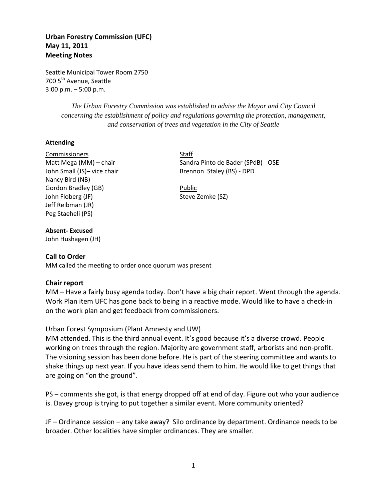# **Urban Forestry Commission (UFC) May 11, 2011 Meeting Notes**

Seattle Municipal Tower Room 2750 700 5<sup>th</sup> Avenue, Seattle 3:00 p.m. – 5:00 p.m.

> *The Urban Forestry Commission was established to advise the Mayor and City Council concerning the establishment of policy and regulations governing the protection, management, and conservation of trees and vegetation in the City of Seattle*

#### **Attending**

Commissioners Staff Nancy Bird (NB) Gordon Bradley (GB) **Public** John Floberg (JF) Steve Zemke (SZ) Jeff Reibman (JR) Peg Staeheli (PS)

Matt Mega (MM) – chair Sandra Pinto de Bader (SPdB) - OSE John Small (JS)- vice chair Brennon Staley (BS) - DPD

#### **Absent- Excused**

John Hushagen (JH)

#### **Call to Order**

MM called the meeting to order once quorum was present

#### **Chair report**

MM – Have a fairly busy agenda today. Don't have a big chair report. Went through the agenda. Work Plan item UFC has gone back to being in a reactive mode. Would like to have a check-in on the work plan and get feedback from commissioners.

#### Urban Forest Symposium (Plant Amnesty and UW)

MM attended. This is the third annual event. It's good because it's a diverse crowd. People working on trees through the region. Majority are government staff, arborists and non-profit. The visioning session has been done before. He is part of the steering committee and wants to shake things up next year. If you have ideas send them to him. He would like to get things that are going on "on the ground".

PS – comments she got, is that energy dropped off at end of day. Figure out who your audience is. Davey group is trying to put together a similar event. More community oriented?

JF – Ordinance session – any take away? Silo ordinance by department. Ordinance needs to be broader. Other localities have simpler ordinances. They are smaller.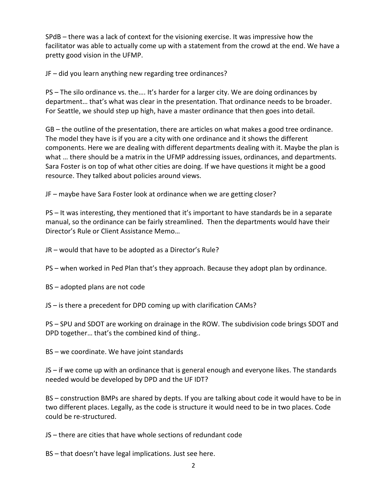SPdB – there was a lack of context for the visioning exercise. It was impressive how the facilitator was able to actually come up with a statement from the crowd at the end. We have a pretty good vision in the UFMP.

JF – did you learn anything new regarding tree ordinances?

PS – The silo ordinance vs. the…. It's harder for a larger city. We are doing ordinances by department… that's what was clear in the presentation. That ordinance needs to be broader. For Seattle, we should step up high, have a master ordinance that then goes into detail.

GB – the outline of the presentation, there are articles on what makes a good tree ordinance. The model they have is if you are a city with one ordinance and it shows the different components. Here we are dealing with different departments dealing with it. Maybe the plan is what … there should be a matrix in the UFMP addressing issues, ordinances, and departments. Sara Foster is on top of what other cities are doing. If we have questions it might be a good resource. They talked about policies around views.

JF – maybe have Sara Foster look at ordinance when we are getting closer?

PS – It was interesting, they mentioned that it's important to have standards be in a separate manual, so the ordinance can be fairly streamlined. Then the departments would have their Director's Rule or Client Assistance Memo…

JR – would that have to be adopted as a Director's Rule?

PS – when worked in Ped Plan that's they approach. Because they adopt plan by ordinance.

BS – adopted plans are not code

JS – is there a precedent for DPD coming up with clarification CAMs?

PS – SPU and SDOT are working on drainage in the ROW. The subdivision code brings SDOT and DPD together… that's the combined kind of thing..

BS – we coordinate. We have joint standards

JS – if we come up with an ordinance that is general enough and everyone likes. The standards needed would be developed by DPD and the UF IDT?

BS – construction BMPs are shared by depts. If you are talking about code it would have to be in two different places. Legally, as the code is structure it would need to be in two places. Code could be re-structured.

JS – there are cities that have whole sections of redundant code

BS – that doesn't have legal implications. Just see here.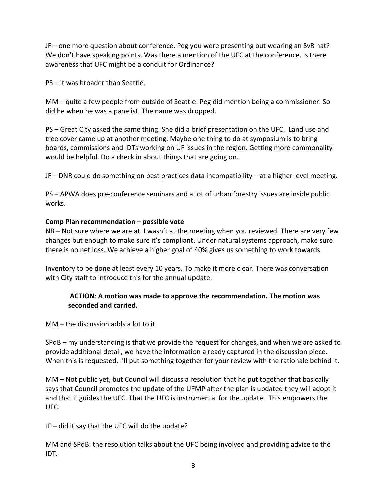JF – one more question about conference. Peg you were presenting but wearing an SvR hat? We don't have speaking points. Was there a mention of the UFC at the conference. Is there awareness that UFC might be a conduit for Ordinance?

PS – it was broader than Seattle.

MM – quite a few people from outside of Seattle. Peg did mention being a commissioner. So did he when he was a panelist. The name was dropped.

PS – Great City asked the same thing. She did a brief presentation on the UFC. Land use and tree cover came up at another meeting. Maybe one thing to do at symposium is to bring boards, commissions and IDTs working on UF issues in the region. Getting more commonality would be helpful. Do a check in about things that are going on.

JF – DNR could do something on best practices data incompatibility – at a higher level meeting.

PS – APWA does pre-conference seminars and a lot of urban forestry issues are inside public works.

# **Comp Plan recommendation – possible vote**

NB – Not sure where we are at. I wasn't at the meeting when you reviewed. There are very few changes but enough to make sure it's compliant. Under natural systems approach, make sure there is no net loss. We achieve a higher goal of 40% gives us something to work towards.

Inventory to be done at least every 10 years. To make it more clear. There was conversation with City staff to introduce this for the annual update.

# **ACTION**: **A motion was made to approve the recommendation. The motion was seconded and carried.**

MM – the discussion adds a lot to it.

SPdB – my understanding is that we provide the request for changes, and when we are asked to provide additional detail, we have the information already captured in the discussion piece. When this is requested, I'll put something together for your review with the rationale behind it.

MM – Not public yet, but Council will discuss a resolution that he put together that basically says that Council promotes the update of the UFMP after the plan is updated they will adopt it and that it guides the UFC. That the UFC is instrumental for the update. This empowers the UFC.

JF – did it say that the UFC will do the update?

MM and SPdB: the resolution talks about the UFC being involved and providing advice to the IDT.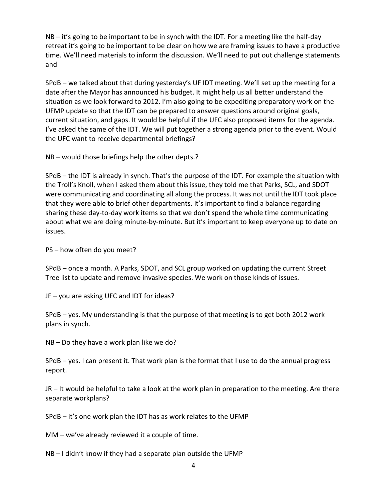NB – it's going to be important to be in synch with the IDT. For a meeting like the half-day retreat it's going to be important to be clear on how we are framing issues to have a productive time. We'll need materials to inform the discussion. We'll need to put out challenge statements and

SPdB – we talked about that during yesterday's UF IDT meeting. We'll set up the meeting for a date after the Mayor has announced his budget. It might help us all better understand the situation as we look forward to 2012. I'm also going to be expediting preparatory work on the UFMP update so that the IDT can be prepared to answer questions around original goals, current situation, and gaps. It would be helpful if the UFC also proposed items for the agenda. I've asked the same of the IDT. We will put together a strong agenda prior to the event. Would the UFC want to receive departmental briefings?

NB – would those briefings help the other depts.?

SPdB – the IDT is already in synch. That's the purpose of the IDT. For example the situation with the Troll's Knoll, when I asked them about this issue, they told me that Parks, SCL, and SDOT were communicating and coordinating all along the process. It was not until the IDT took place that they were able to brief other departments. It's important to find a balance regarding sharing these day-to-day work items so that we don't spend the whole time communicating about what we are doing minute-by-minute. But it's important to keep everyone up to date on issues.

PS – how often do you meet?

SPdB – once a month. A Parks, SDOT, and SCL group worked on updating the current Street Tree list to update and remove invasive species. We work on those kinds of issues.

JF – you are asking UFC and IDT for ideas?

SPdB – yes. My understanding is that the purpose of that meeting is to get both 2012 work plans in synch.

NB – Do they have a work plan like we do?

SPdB – yes. I can present it. That work plan is the format that I use to do the annual progress report.

JR – It would be helpful to take a look at the work plan in preparation to the meeting. Are there separate workplans?

SPdB – it's one work plan the IDT has as work relates to the UFMP

MM – we've already reviewed it a couple of time.

NB – I didn't know if they had a separate plan outside the UFMP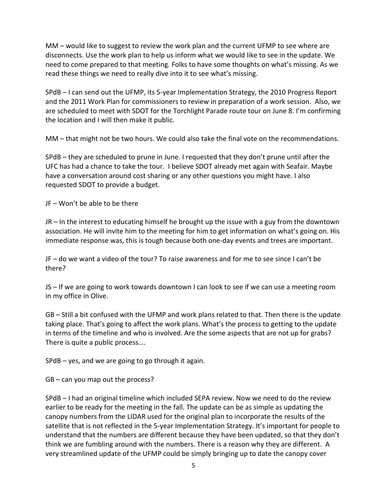MM – would like to suggest to review the work plan and the current UFMP to see where are disconnects. Use the work plan to help us inform what we would like to see in the update. We need to come prepared to that meeting. Folks to have some thoughts on what's missing. As we read these things we need to really dive into it to see what's missing.

SPdB – I can send out the UFMP, its 5-year Implementation Strategy, the 2010 Progress Report and the 2011 Work Plan for commissioners to review in preparation of a work session. Also, we are scheduled to meet with SDOT for the Torchlight Parade route tour on June 8. I'm confirming the location and I will then make it public.

MM – that might not be two hours. We could also take the final vote on the recommendations.

SPdB – they are scheduled to prune in June. I requested that they don't prune until after the UFC has had a chance to take the tour. I believe SDOT already met again with Seafair. Maybe have a conversation around cost sharing or any other questions you might have. I also requested SDOT to provide a budget.

JF – Won't be able to be there

JR – In the interest to educating himself he brought up the issue with a guy from the downtown association. He will invite him to the meeting for him to get information on what's going on. His immediate response was, this is tough because both one-day events and trees are important.

JF – do we want a video of the tour? To raise awareness and for me to see since I can't be there?

JS – If we are going to work towards downtown I can look to see if we can use a meeting room in my office in Olive.

GB – Still a bit confused with the UFMP and work plans related to that. Then there is the update taking place. That's going to affect the work plans. What's the process to getting to the update in terms of the timeline and who is involved. Are the some aspects that are not up for grabs? There is quite a public process….

SPdB – yes, and we are going to go through it again.

GB – can you map out the process?

SPdB – I had an original timeline which included SEPA review. Now we need to do the review earlier to be ready for the meeting in the fall. The update can be as simple as updating the canopy numbers from the LIDAR used for the original plan to incorporate the results of the satellite that is not reflected in the 5-year Implementation Strategy. It's important for people to understand that the numbers are different because they have been updated, so that they don't think we are fumbling around with the numbers. There is a reason why they are different. A very streamlined update of the UFMP could be simply bringing up to date the canopy cover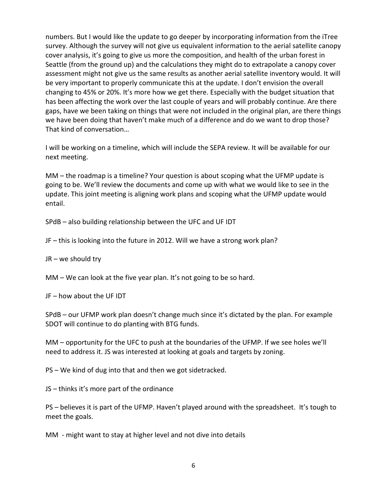numbers. But I would like the update to go deeper by incorporating information from the iTree survey. Although the survey will not give us equivalent information to the aerial satellite canopy cover analysis, it's going to give us more the composition, and health of the urban forest in Seattle (from the ground up) and the calculations they might do to extrapolate a canopy cover assessment might not give us the same results as another aerial satellite inventory would. It will be very important to properly communicate this at the update. I don't envision the overall changing to 45% or 20%. It's more how we get there. Especially with the budget situation that has been affecting the work over the last couple of years and will probably continue. Are there gaps, have we been taking on things that were not included in the original plan, are there things we have been doing that haven't make much of a difference and do we want to drop those? That kind of conversation…

I will be working on a timeline, which will include the SEPA review. It will be available for our next meeting.

MM – the roadmap is a timeline? Your question is about scoping what the UFMP update is going to be. We'll review the documents and come up with what we would like to see in the update. This joint meeting is aligning work plans and scoping what the UFMP update would entail.

SPdB – also building relationship between the UFC and UF IDT

JF – this is looking into the future in 2012. Will we have a strong work plan?

JR – we should try

MM – We can look at the five year plan. It's not going to be so hard.

JF – how about the UF IDT

SPdB – our UFMP work plan doesn't change much since it's dictated by the plan. For example SDOT will continue to do planting with BTG funds.

MM – opportunity for the UFC to push at the boundaries of the UFMP. If we see holes we'll need to address it. JS was interested at looking at goals and targets by zoning.

PS – We kind of dug into that and then we got sidetracked.

JS – thinks it's more part of the ordinance

PS – believes it is part of the UFMP. Haven't played around with the spreadsheet. It's tough to meet the goals.

MM - might want to stay at higher level and not dive into details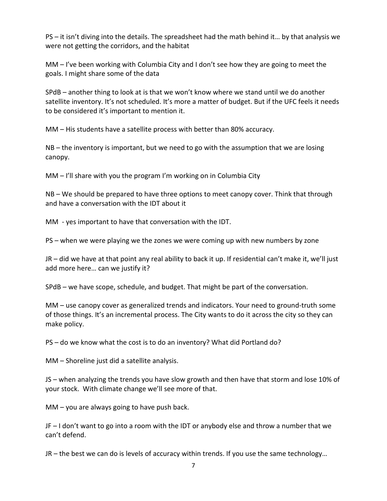PS – it isn't diving into the details. The spreadsheet had the math behind it… by that analysis we were not getting the corridors, and the habitat

MM – I've been working with Columbia City and I don't see how they are going to meet the goals. I might share some of the data

SPdB – another thing to look at is that we won't know where we stand until we do another satellite inventory. It's not scheduled. It's more a matter of budget. But if the UFC feels it needs to be considered it's important to mention it.

MM – His students have a satellite process with better than 80% accuracy.

NB – the inventory is important, but we need to go with the assumption that we are losing canopy.

MM – I'll share with you the program I'm working on in Columbia City

NB – We should be prepared to have three options to meet canopy cover. Think that through and have a conversation with the IDT about it

MM - yes important to have that conversation with the IDT.

PS – when we were playing we the zones we were coming up with new numbers by zone

JR – did we have at that point any real ability to back it up. If residential can't make it, we'll just add more here… can we justify it?

SPdB – we have scope, schedule, and budget. That might be part of the conversation.

MM – use canopy cover as generalized trends and indicators. Your need to ground-truth some of those things. It's an incremental process. The City wants to do it across the city so they can make policy.

PS – do we know what the cost is to do an inventory? What did Portland do?

MM – Shoreline just did a satellite analysis.

JS – when analyzing the trends you have slow growth and then have that storm and lose 10% of your stock. With climate change we'll see more of that.

MM – you are always going to have push back.

JF – I don't want to go into a room with the IDT or anybody else and throw a number that we can't defend.

JR – the best we can do is levels of accuracy within trends. If you use the same technology…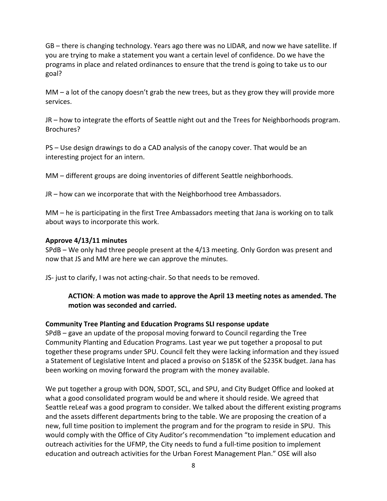GB – there is changing technology. Years ago there was no LIDAR, and now we have satellite. If you are trying to make a statement you want a certain level of confidence. Do we have the programs in place and related ordinances to ensure that the trend is going to take us to our goal?

MM – a lot of the canopy doesn't grab the new trees, but as they grow they will provide more services.

JR – how to integrate the efforts of Seattle night out and the Trees for Neighborhoods program. Brochures?

PS – Use design drawings to do a CAD analysis of the canopy cover. That would be an interesting project for an intern.

MM – different groups are doing inventories of different Seattle neighborhoods.

JR – how can we incorporate that with the Neighborhood tree Ambassadors.

MM – he is participating in the first Tree Ambassadors meeting that Jana is working on to talk about ways to incorporate this work.

### **Approve 4/13/11 minutes**

SPdB – We only had three people present at the 4/13 meeting. Only Gordon was present and now that JS and MM are here we can approve the minutes.

JS- just to clarify, I was not acting-chair. So that needs to be removed.

# **ACTION**: **A motion was made to approve the April 13 meeting notes as amended. The motion was seconded and carried.**

### **Community Tree Planting and Education Programs SLI response update**

SPdB – gave an update of the proposal moving forward to Council regarding the Tree Community Planting and Education Programs. Last year we put together a proposal to put together these programs under SPU. Council felt they were lacking information and they issued a Statement of Legislative Intent and placed a proviso on \$185K of the \$235K budget. Jana has been working on moving forward the program with the money available.

We put together a group with DON, SDOT, SCL, and SPU, and City Budget Office and looked at what a good consolidated program would be and where it should reside. We agreed that Seattle reLeaf was a good program to consider. We talked about the different existing programs and the assets different departments bring to the table. We are proposing the creation of a new, full time position to implement the program and for the program to reside in SPU. This would comply with the Office of City Auditor's recommendation "to implement education and outreach activities for the UFMP, the City needs to fund a full-time position to implement education and outreach activities for the Urban Forest Management Plan." OSE will also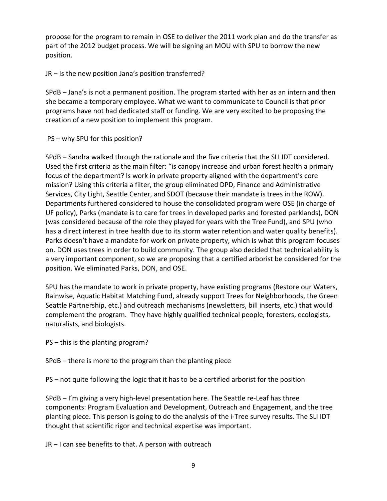propose for the program to remain in OSE to deliver the 2011 work plan and do the transfer as part of the 2012 budget process. We will be signing an MOU with SPU to borrow the new position.

JR – Is the new position Jana's position transferred?

SPdB – Jana's is not a permanent position. The program started with her as an intern and then she became a temporary employee. What we want to communicate to Council is that prior programs have not had dedicated staff or funding. We are very excited to be proposing the creation of a new position to implement this program.

# PS – why SPU for this position?

SPdB – Sandra walked through the rationale and the five criteria that the SLI IDT considered. Used the first criteria as the main filter: "is canopy increase and urban forest health a primary focus of the department? Is work in private property aligned with the department's core mission? Using this criteria a filter, the group eliminated DPD, Finance and Administrative Services, City Light, Seattle Center, and SDOT (because their mandate is trees in the ROW). Departments furthered considered to house the consolidated program were OSE (in charge of UF policy), Parks (mandate is to care for trees in developed parks and forested parklands), DON (was considered because of the role they played for years with the Tree Fund), and SPU (who has a direct interest in tree health due to its storm water retention and water quality benefits). Parks doesn't have a mandate for work on private property, which is what this program focuses on. DON uses trees in order to build community. The group also decided that technical ability is a very important component, so we are proposing that a certified arborist be considered for the position. We eliminated Parks, DON, and OSE.

SPU has the mandate to work in private property, have existing programs (Restore our Waters, Rainwise, Aquatic Habitat Matching Fund, already support Trees for Neighborhoods, the Green Seattle Partnership, etc.) and outreach mechanisms (newsletters, bill inserts, etc.) that would complement the program. They have highly qualified technical people, foresters, ecologists, naturalists, and biologists.

PS – this is the planting program?

SPdB – there is more to the program than the planting piece

PS – not quite following the logic that it has to be a certified arborist for the position

SPdB – I'm giving a very high-level presentation here. The Seattle re-Leaf has three components: Program Evaluation and Development, Outreach and Engagement, and the tree planting piece. This person is going to do the analysis of the i-Tree survey results. The SLI IDT thought that scientific rigor and technical expertise was important.

JR – I can see benefits to that. A person with outreach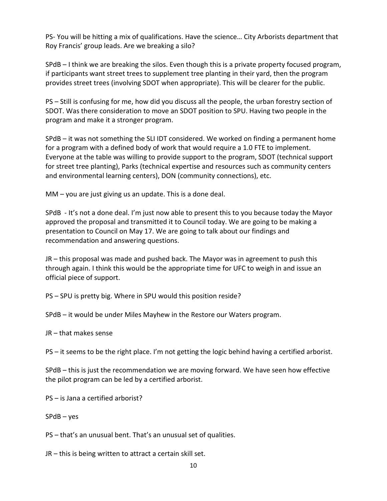PS- You will be hitting a mix of qualifications. Have the science… City Arborists department that Roy Francis' group leads. Are we breaking a silo?

SPdB – I think we are breaking the silos. Even though this is a private property focused program, if participants want street trees to supplement tree planting in their yard, then the program provides street trees (involving SDOT when appropriate). This will be clearer for the public.

PS – Still is confusing for me, how did you discuss all the people, the urban forestry section of SDOT. Was there consideration to move an SDOT position to SPU. Having two people in the program and make it a stronger program.

SPdB – it was not something the SLI IDT considered. We worked on finding a permanent home for a program with a defined body of work that would require a 1.0 FTE to implement. Everyone at the table was willing to provide support to the program, SDOT (technical support for street tree planting), Parks (technical expertise and resources such as community centers and environmental learning centers), DON (community connections), etc.

MM – you are just giving us an update. This is a done deal.

SPdB - It's not a done deal. I'm just now able to present this to you because today the Mayor approved the proposal and transmitted it to Council today. We are going to be making a presentation to Council on May 17. We are going to talk about our findings and recommendation and answering questions.

JR – this proposal was made and pushed back. The Mayor was in agreement to push this through again. I think this would be the appropriate time for UFC to weigh in and issue an official piece of support.

PS – SPU is pretty big. Where in SPU would this position reside?

SPdB – it would be under Miles Mayhew in the Restore our Waters program.

JR – that makes sense

PS – it seems to be the right place. I'm not getting the logic behind having a certified arborist.

SPdB – this is just the recommendation we are moving forward. We have seen how effective the pilot program can be led by a certified arborist.

PS – is Jana a certified arborist?

SPdB – yes

PS – that's an unusual bent. That's an unusual set of qualities.

JR – this is being written to attract a certain skill set.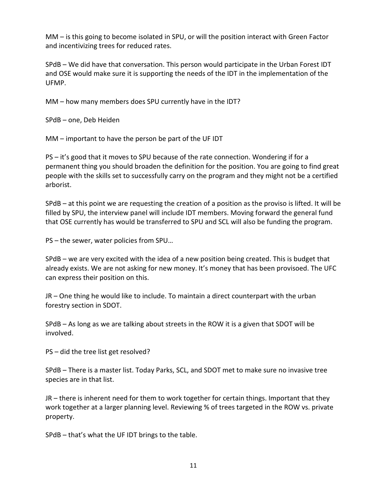MM – is this going to become isolated in SPU, or will the position interact with Green Factor and incentivizing trees for reduced rates.

SPdB – We did have that conversation. This person would participate in the Urban Forest IDT and OSE would make sure it is supporting the needs of the IDT in the implementation of the UFMP.

MM – how many members does SPU currently have in the IDT?

SPdB – one, Deb Heiden

MM – important to have the person be part of the UF IDT

PS – it's good that it moves to SPU because of the rate connection. Wondering if for a permanent thing you should broaden the definition for the position. You are going to find great people with the skills set to successfully carry on the program and they might not be a certified arborist.

SPdB – at this point we are requesting the creation of a position as the proviso is lifted. It will be filled by SPU, the interview panel will include IDT members. Moving forward the general fund that OSE currently has would be transferred to SPU and SCL will also be funding the program.

PS – the sewer, water policies from SPU…

SPdB – we are very excited with the idea of a new position being created. This is budget that already exists. We are not asking for new money. It's money that has been provisoed. The UFC can express their position on this.

JR – One thing he would like to include. To maintain a direct counterpart with the urban forestry section in SDOT.

SPdB – As long as we are talking about streets in the ROW it is a given that SDOT will be involved.

PS – did the tree list get resolved?

SPdB – There is a master list. Today Parks, SCL, and SDOT met to make sure no invasive tree species are in that list.

JR – there is inherent need for them to work together for certain things. Important that they work together at a larger planning level. Reviewing % of trees targeted in the ROW vs. private property.

SPdB – that's what the UF IDT brings to the table.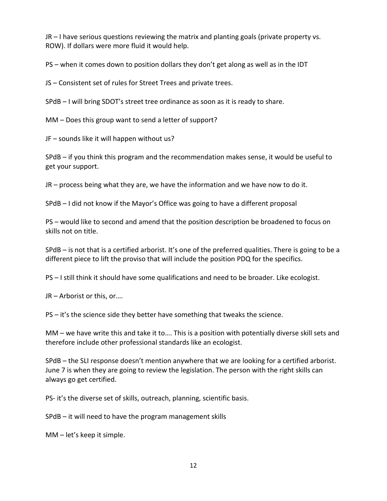JR – I have serious questions reviewing the matrix and planting goals (private property vs. ROW). If dollars were more fluid it would help.

PS – when it comes down to position dollars they don't get along as well as in the IDT

JS – Consistent set of rules for Street Trees and private trees.

SPdB – I will bring SDOT's street tree ordinance as soon as it is ready to share.

MM – Does this group want to send a letter of support?

JF – sounds like it will happen without us?

SPdB – if you think this program and the recommendation makes sense, it would be useful to get your support.

JR – process being what they are, we have the information and we have now to do it.

SPdB – I did not know if the Mayor's Office was going to have a different proposal

PS – would like to second and amend that the position description be broadened to focus on skills not on title.

SPdB – is not that is a certified arborist. It's one of the preferred qualities. There is going to be a different piece to lift the proviso that will include the position PDQ for the specifics.

PS – I still think it should have some qualifications and need to be broader. Like ecologist.

JR – Arborist or this, or….

PS – it's the science side they better have something that tweaks the science.

MM – we have write this and take it to…. This is a position with potentially diverse skill sets and therefore include other professional standards like an ecologist.

SPdB – the SLI response doesn't mention anywhere that we are looking for a certified arborist. June 7 is when they are going to review the legislation. The person with the right skills can always go get certified.

PS- it's the diverse set of skills, outreach, planning, scientific basis.

SPdB – it will need to have the program management skills

MM – let's keep it simple.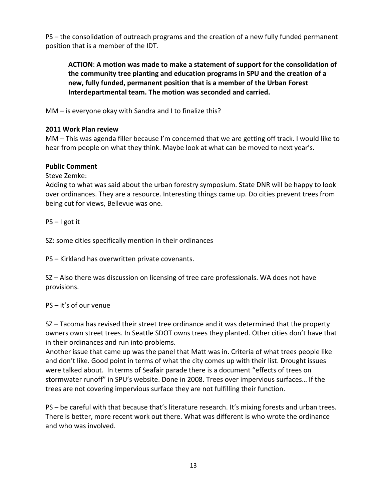PS – the consolidation of outreach programs and the creation of a new fully funded permanent position that is a member of the IDT.

**ACTION**: **A motion was made to make a statement of support for the consolidation of the community tree planting and education programs in SPU and the creation of a new, fully funded, permanent position that is a member of the Urban Forest Interdepartmental team. The motion was seconded and carried.**

MM – is everyone okay with Sandra and I to finalize this?

# **2011 Work Plan review**

MM – This was agenda filler because I'm concerned that we are getting off track. I would like to hear from people on what they think. Maybe look at what can be moved to next year's.

# **Public Comment**

Steve Zemke:

Adding to what was said about the urban forestry symposium. State DNR will be happy to look over ordinances. They are a resource. Interesting things came up. Do cities prevent trees from being cut for views, Bellevue was one.

PS – I got it

SZ: some cities specifically mention in their ordinances

PS – Kirkland has overwritten private covenants.

SZ – Also there was discussion on licensing of tree care professionals. WA does not have provisions.

# PS – it's of our venue

SZ – Tacoma has revised their street tree ordinance and it was determined that the property owners own street trees. In Seattle SDOT owns trees they planted. Other cities don't have that in their ordinances and run into problems.

Another issue that came up was the panel that Matt was in. Criteria of what trees people like and don't like. Good point in terms of what the city comes up with their list. Drought issues were talked about. In terms of Seafair parade there is a document "effects of trees on stormwater runoff" in SPU's website. Done in 2008. Trees over impervious surfaces… If the trees are not covering impervious surface they are not fulfilling their function.

PS – be careful with that because that's literature research. It's mixing forests and urban trees. There is better, more recent work out there. What was different is who wrote the ordinance and who was involved.